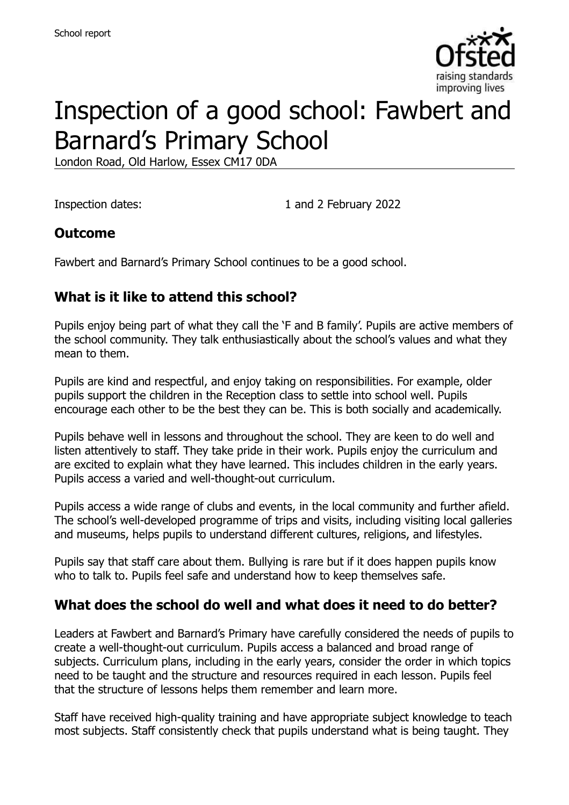

# Inspection of a good school: Fawbert and Barnard's Primary School

London Road, Old Harlow, Essex CM17 0DA

Inspection dates: 1 and 2 February 2022

#### **Outcome**

Fawbert and Barnard's Primary School continues to be a good school.

### **What is it like to attend this school?**

Pupils enjoy being part of what they call the 'F and B family'. Pupils are active members of the school community. They talk enthusiastically about the school's values and what they mean to them.

Pupils are kind and respectful, and enjoy taking on responsibilities. For example, older pupils support the children in the Reception class to settle into school well. Pupils encourage each other to be the best they can be. This is both socially and academically.

Pupils behave well in lessons and throughout the school. They are keen to do well and listen attentively to staff. They take pride in their work. Pupils enjoy the curriculum and are excited to explain what they have learned. This includes children in the early years. Pupils access a varied and well-thought-out curriculum.

Pupils access a wide range of clubs and events, in the local community and further afield. The school's well-developed programme of trips and visits, including visiting local galleries and museums, helps pupils to understand different cultures, religions, and lifestyles.

Pupils say that staff care about them. Bullying is rare but if it does happen pupils know who to talk to. Pupils feel safe and understand how to keep themselves safe.

#### **What does the school do well and what does it need to do better?**

Leaders at Fawbert and Barnard's Primary have carefully considered the needs of pupils to create a well-thought-out curriculum. Pupils access a balanced and broad range of subjects. Curriculum plans, including in the early years, consider the order in which topics need to be taught and the structure and resources required in each lesson. Pupils feel that the structure of lessons helps them remember and learn more.

Staff have received high-quality training and have appropriate subject knowledge to teach most subjects. Staff consistently check that pupils understand what is being taught. They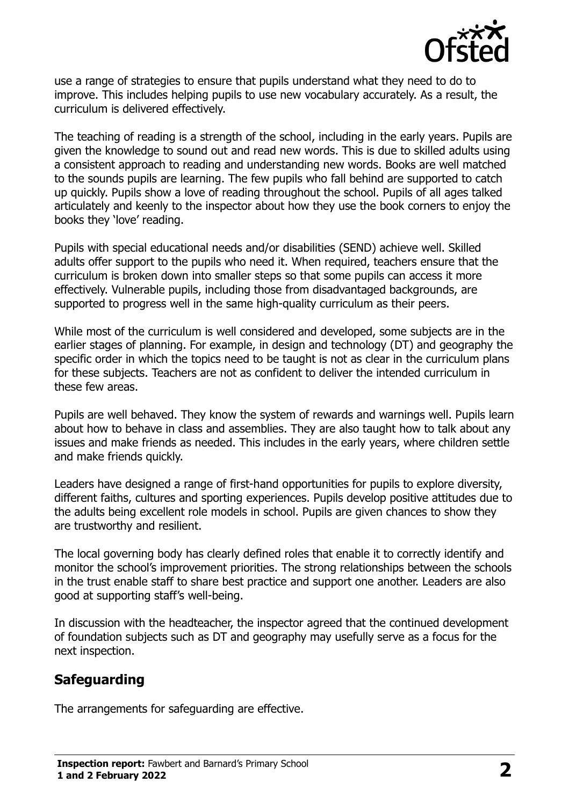

use a range of strategies to ensure that pupils understand what they need to do to improve. This includes helping pupils to use new vocabulary accurately. As a result, the curriculum is delivered effectively.

The teaching of reading is a strength of the school, including in the early years. Pupils are given the knowledge to sound out and read new words. This is due to skilled adults using a consistent approach to reading and understanding new words. Books are well matched to the sounds pupils are learning. The few pupils who fall behind are supported to catch up quickly. Pupils show a love of reading throughout the school. Pupils of all ages talked articulately and keenly to the inspector about how they use the book corners to enjoy the books they 'love' reading.

Pupils with special educational needs and/or disabilities (SEND) achieve well. Skilled adults offer support to the pupils who need it. When required, teachers ensure that the curriculum is broken down into smaller steps so that some pupils can access it more effectively. Vulnerable pupils, including those from disadvantaged backgrounds, are supported to progress well in the same high-quality curriculum as their peers.

While most of the curriculum is well considered and developed, some subjects are in the earlier stages of planning. For example, in design and technology (DT) and geography the specific order in which the topics need to be taught is not as clear in the curriculum plans for these subjects. Teachers are not as confident to deliver the intended curriculum in these few areas.

Pupils are well behaved. They know the system of rewards and warnings well. Pupils learn about how to behave in class and assemblies. They are also taught how to talk about any issues and make friends as needed. This includes in the early years, where children settle and make friends quickly.

Leaders have designed a range of first-hand opportunities for pupils to explore diversity, different faiths, cultures and sporting experiences. Pupils develop positive attitudes due to the adults being excellent role models in school. Pupils are given chances to show they are trustworthy and resilient.

The local governing body has clearly defined roles that enable it to correctly identify and monitor the school's improvement priorities. The strong relationships between the schools in the trust enable staff to share best practice and support one another. Leaders are also good at supporting staff's well-being.

In discussion with the headteacher, the inspector agreed that the continued development of foundation subjects such as DT and geography may usefully serve as a focus for the next inspection.

# **Safeguarding**

The arrangements for safeguarding are effective.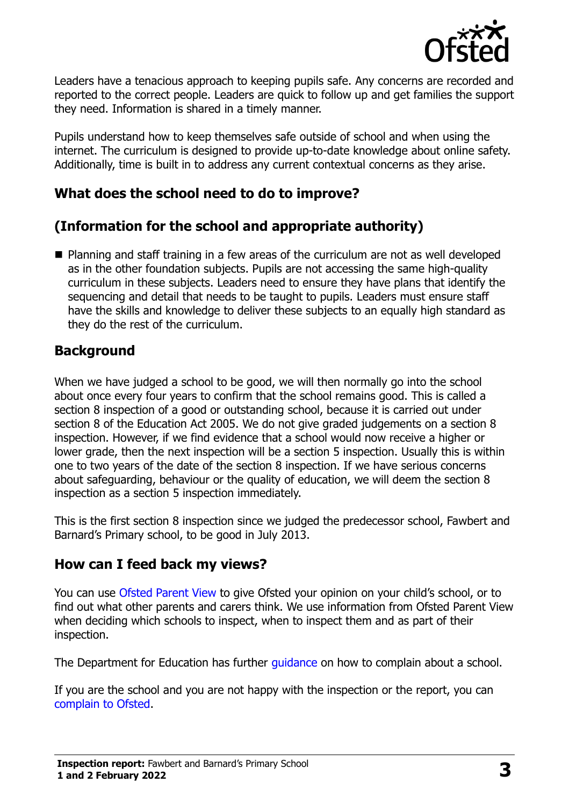

Leaders have a tenacious approach to keeping pupils safe. Any concerns are recorded and reported to the correct people. Leaders are quick to follow up and get families the support they need. Information is shared in a timely manner.

Pupils understand how to keep themselves safe outside of school and when using the internet. The curriculum is designed to provide up-to-date knowledge about online safety. Additionally, time is built in to address any current contextual concerns as they arise.

### **What does the school need to do to improve?**

# **(Information for the school and appropriate authority)**

■ Planning and staff training in a few areas of the curriculum are not as well developed as in the other foundation subjects. Pupils are not accessing the same high-quality curriculum in these subjects. Leaders need to ensure they have plans that identify the sequencing and detail that needs to be taught to pupils. Leaders must ensure staff have the skills and knowledge to deliver these subjects to an equally high standard as they do the rest of the curriculum.

### **Background**

When we have judged a school to be good, we will then normally go into the school about once every four years to confirm that the school remains good. This is called a section 8 inspection of a good or outstanding school, because it is carried out under section 8 of the Education Act 2005. We do not give graded judgements on a section 8 inspection. However, if we find evidence that a school would now receive a higher or lower grade, then the next inspection will be a section 5 inspection. Usually this is within one to two years of the date of the section 8 inspection. If we have serious concerns about safeguarding, behaviour or the quality of education, we will deem the section 8 inspection as a section 5 inspection immediately.

This is the first section 8 inspection since we judged the predecessor school, Fawbert and Barnard's Primary school, to be good in July 2013.

#### **How can I feed back my views?**

You can use [Ofsted Parent View](https://parentview.ofsted.gov.uk/) to give Ofsted your opinion on your child's school, or to find out what other parents and carers think. We use information from Ofsted Parent View when deciding which schools to inspect, when to inspect them and as part of their inspection.

The Department for Education has further quidance on how to complain about a school.

If you are the school and you are not happy with the inspection or the report, you can [complain to Ofsted.](https://www.gov.uk/complain-ofsted-report)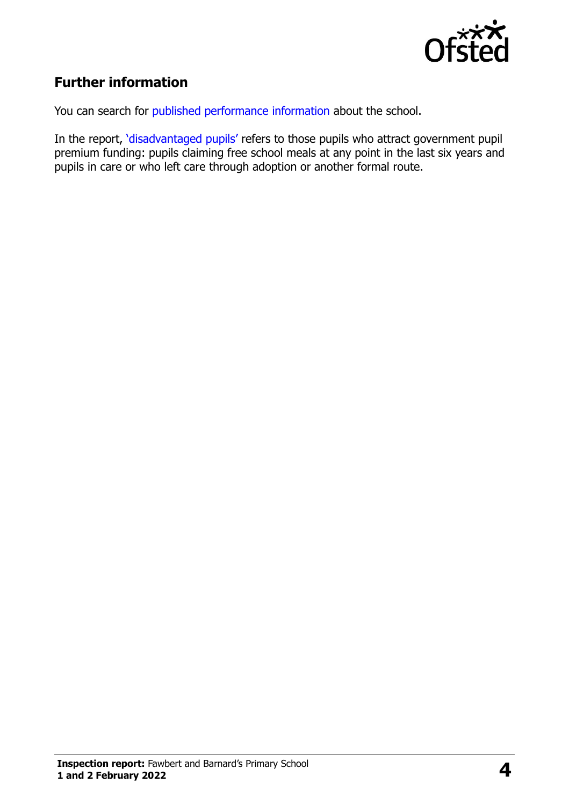

# **Further information**

You can search for [published performance information](http://www.compare-school-performance.service.gov.uk/) about the school.

In the report, '[disadvantaged pupils](http://www.gov.uk/guidance/pupil-premium-information-for-schools-and-alternative-provision-settings)' refers to those pupils who attract government pupil premium funding: pupils claiming free school meals at any point in the last six years and pupils in care or who left care through adoption or another formal route.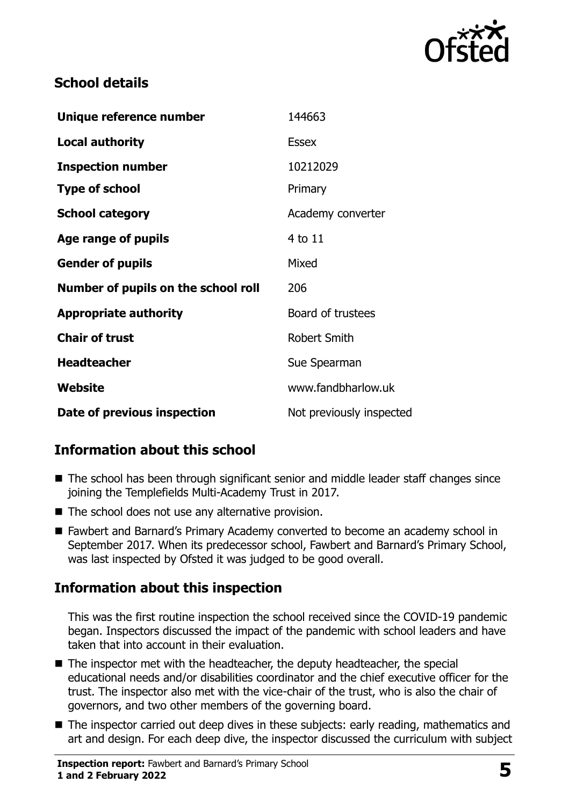

### **School details**

| Unique reference number             | 144663                   |
|-------------------------------------|--------------------------|
| <b>Local authority</b>              | <b>Essex</b>             |
| <b>Inspection number</b>            | 10212029                 |
| <b>Type of school</b>               | Primary                  |
| <b>School category</b>              | Academy converter        |
| Age range of pupils                 | 4 to 11                  |
| <b>Gender of pupils</b>             | Mixed                    |
| Number of pupils on the school roll | 206                      |
| <b>Appropriate authority</b>        | Board of trustees        |
| <b>Chair of trust</b>               | Robert Smith             |
| <b>Headteacher</b>                  | Sue Spearman             |
| Website                             | www.fandbharlow.uk       |
| Date of previous inspection         | Not previously inspected |

# **Information about this school**

- The school has been through significant senior and middle leader staff changes since joining the Templefields Multi-Academy Trust in 2017.
- The school does not use any alternative provision.
- Fawbert and Barnard's Primary Academy converted to become an academy school in September 2017. When its predecessor school, Fawbert and Barnard's Primary School, was last inspected by Ofsted it was judged to be good overall.

# **Information about this inspection**

This was the first routine inspection the school received since the COVID-19 pandemic began. Inspectors discussed the impact of the pandemic with school leaders and have taken that into account in their evaluation.

- The inspector met with the headteacher, the deputy headteacher, the special educational needs and/or disabilities coordinator and the chief executive officer for the trust. The inspector also met with the vice-chair of the trust, who is also the chair of governors, and two other members of the governing board.
- The inspector carried out deep dives in these subjects: early reading, mathematics and art and design. For each deep dive, the inspector discussed the curriculum with subject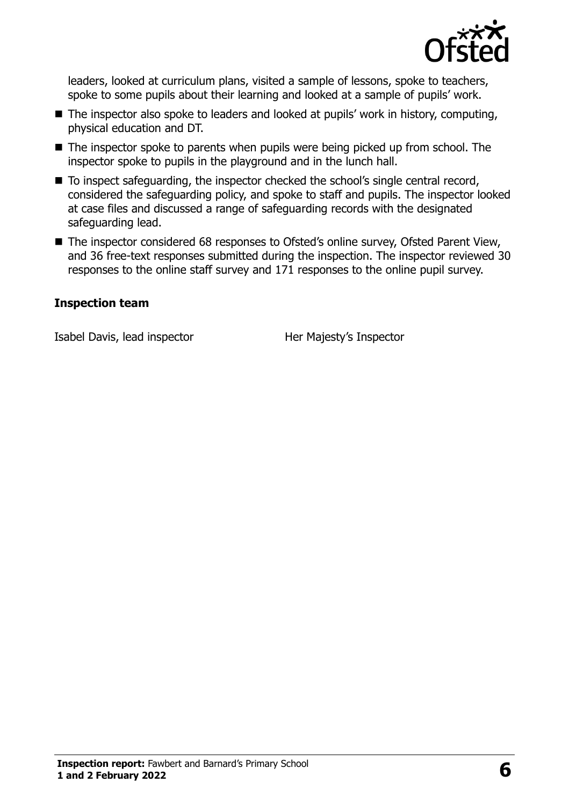

leaders, looked at curriculum plans, visited a sample of lessons, spoke to teachers, spoke to some pupils about their learning and looked at a sample of pupils' work.

- The inspector also spoke to leaders and looked at pupils' work in history, computing, physical education and DT.
- The inspector spoke to parents when pupils were being picked up from school. The inspector spoke to pupils in the playground and in the lunch hall.
- To inspect safeguarding, the inspector checked the school's single central record, considered the safeguarding policy, and spoke to staff and pupils. The inspector looked at case files and discussed a range of safeguarding records with the designated safeguarding lead.
- The inspector considered 68 responses to Ofsted's online survey, Ofsted Parent View, and 36 free-text responses submitted during the inspection. The inspector reviewed 30 responses to the online staff survey and 171 responses to the online pupil survey.

#### **Inspection team**

Isabel Davis, lead inspector Her Majesty's Inspector